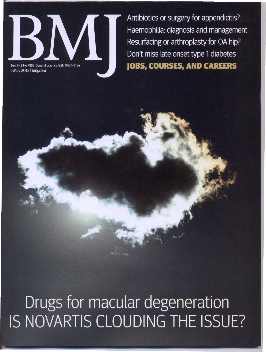

Antibiotics or surgery for appendicitis? Haemophilia: diagnosis and management Resurfacing or arthroplasty for OA hip? Don't miss late onset type 1 diabetes **JOBS, COURSES, AND CAREERS** 

## Drugs for macular degeneration IS NOVARTIS CLOUDING THE ISSUE?